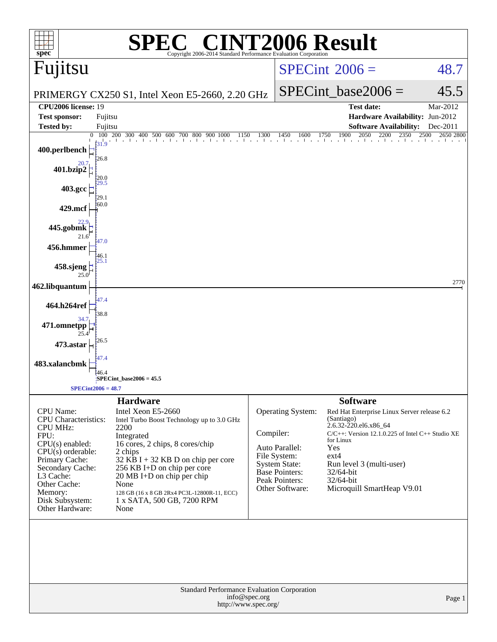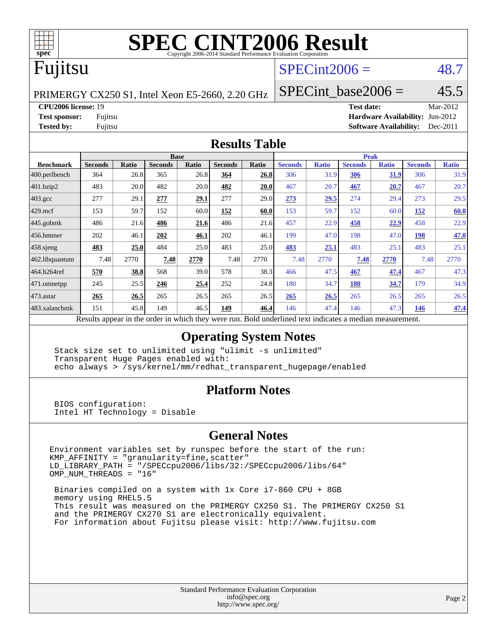

# **[SPEC CINT2006 Result](http://www.spec.org/auto/cpu2006/Docs/result-fields.html#SPECCINT2006Result)**

### Fujitsu

#### $SPECint2006 = 48.7$  $SPECint2006 = 48.7$

PRIMERGY CX250 S1, Intel Xeon E5-2660, 2.20 GHz

SPECint base2006 =  $45.5$ 

**[CPU2006 license:](http://www.spec.org/auto/cpu2006/Docs/result-fields.html#CPU2006license)** 19 **[Test date:](http://www.spec.org/auto/cpu2006/Docs/result-fields.html#Testdate)** Mar-2012

**[Test sponsor:](http://www.spec.org/auto/cpu2006/Docs/result-fields.html#Testsponsor)** Fujitsu **[Hardware Availability:](http://www.spec.org/auto/cpu2006/Docs/result-fields.html#HardwareAvailability)** Jun-2012 **[Tested by:](http://www.spec.org/auto/cpu2006/Docs/result-fields.html#Testedby)** Fujitsu **[Software Availability:](http://www.spec.org/auto/cpu2006/Docs/result-fields.html#SoftwareAvailability)** Dec-2011

#### **[Results Table](http://www.spec.org/auto/cpu2006/Docs/result-fields.html#ResultsTable)**

|                       | <b>Base</b>                                                                                              |       |                |       |                |       | <b>Peak</b>    |              |                |              |                |              |  |
|-----------------------|----------------------------------------------------------------------------------------------------------|-------|----------------|-------|----------------|-------|----------------|--------------|----------------|--------------|----------------|--------------|--|
| <b>Benchmark</b>      | <b>Seconds</b>                                                                                           | Ratio | <b>Seconds</b> | Ratio | <b>Seconds</b> | Ratio | <b>Seconds</b> | <b>Ratio</b> | <b>Seconds</b> | <b>Ratio</b> | <b>Seconds</b> | <b>Ratio</b> |  |
| 400.perlbench         | 364                                                                                                      | 26.8  | 365            | 26.8  | 364            | 26.8  | 306            | 31.9         | 306            | 31.9         | 306            | 31.9         |  |
| 401.bzip2             | 483                                                                                                      | 20.0  | 482            | 20.0  | 482            | 20.0  | 467            | 20.7         | 467            | 20.7         | 467            | 20.7         |  |
| $403.\mathrm{gcc}$    | 277                                                                                                      | 29.1  | 277            | 29.1  | 277            | 29.0  | 273            | 29.5         | 274            | 29.4         | 273            | 29.5         |  |
| $429$ mcf             | 153                                                                                                      | 59.7  | 152            | 60.0  | 152            | 60.0  | 153            | 59.7         | 152            | 60.0         | 152            | 60.0         |  |
| $445$ .gobmk          | 486                                                                                                      | 21.6  | 486            | 21.6  | 486            | 21.6  | 457            | 22.9         | 458            | <u>22.9</u>  | 458            | 22.9         |  |
| 456.hmmer             | 202                                                                                                      | 46.1  | 202            | 46.1  | 202            | 46.1  | 199            | 47.0         | 198            | 47.0         | 198            | 47.0         |  |
| $ 458 \text{.}$ sjeng | 483                                                                                                      | 25.0  | 484            | 25.0  | 483            | 25.0  | 483            | 25.1         | 483            | 25.1         | 483            | 25.1         |  |
| 462.libquantum        | 7.48                                                                                                     | 2770  | 7.48           | 2770  | 7.48           | 2770  | 7.48           | 2770         | 7.48           | 2770         | 7.48           | 2770         |  |
| 464.h264ref           | 570                                                                                                      | 38.8  | 568            | 39.0  | 578            | 38.3  | 466            | 47.5         | 467            | 47.4         | 467            | 47.3         |  |
| $ 471$ .omnetpp       | 245                                                                                                      | 25.5  | 246            | 25.4  | 252            | 24.8  | 180            | 34.7         | <b>180</b>     | 34.7         | 179            | 34.9         |  |
| $473$ . astar         | 265                                                                                                      | 26.5  | 265            | 26.5  | 265            | 26.5  | 265            | 26.5         | 265            | 26.5         | 265            | 26.5         |  |
| 483.xalancbmk         | 151                                                                                                      | 45.8  | 149            | 46.5  | 149            | 46.4  | 146            | 47.4         | 146            | 47.3         | 146            | 47.4         |  |
|                       | Results appear in the order in which they were run. Bold underlined text indicates a median measurement. |       |                |       |                |       |                |              |                |              |                |              |  |

#### **[Operating System Notes](http://www.spec.org/auto/cpu2006/Docs/result-fields.html#OperatingSystemNotes)**

 Stack size set to unlimited using "ulimit -s unlimited" Transparent Huge Pages enabled with: echo always > /sys/kernel/mm/redhat\_transparent\_hugepage/enabled

#### **[Platform Notes](http://www.spec.org/auto/cpu2006/Docs/result-fields.html#PlatformNotes)**

 BIOS configuration: Intel HT Technology = Disable

#### **[General Notes](http://www.spec.org/auto/cpu2006/Docs/result-fields.html#GeneralNotes)**

Environment variables set by runspec before the start of the run: KMP\_AFFINITY = "granularity=fine,scatter" LD\_LIBRARY\_PATH = "/SPECcpu2006/libs/32:/SPECcpu2006/libs/64" OMP\_NUM\_THREADS = "16"

 Binaries compiled on a system with 1x Core i7-860 CPU + 8GB memory using RHEL5.5 This result was measured on the PRIMERGY CX250 S1. The PRIMERGY CX250 S1 and the PRIMERGY CX270 S1 are electronically equivalent. For information about Fujitsu please visit: <http://www.fujitsu.com>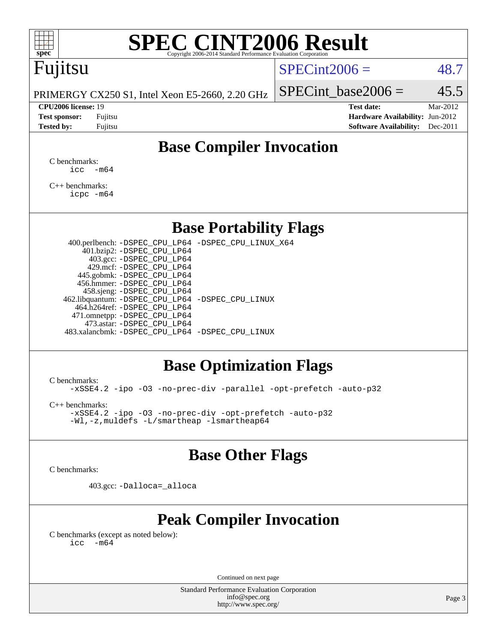

# **[SPEC CINT2006 Result](http://www.spec.org/auto/cpu2006/Docs/result-fields.html#SPECCINT2006Result)**

## Fujitsu

#### $SPECint2006 = 48.7$  $SPECint2006 = 48.7$

PRIMERGY CX250 S1, Intel Xeon E5-2660, 2.20 GHz

#### **[CPU2006 license:](http://www.spec.org/auto/cpu2006/Docs/result-fields.html#CPU2006license)** 19 **[Test date:](http://www.spec.org/auto/cpu2006/Docs/result-fields.html#Testdate)** Mar-2012

SPECint base2006 =  $45.5$ 

**[Test sponsor:](http://www.spec.org/auto/cpu2006/Docs/result-fields.html#Testsponsor)** Fujitsu **[Hardware Availability:](http://www.spec.org/auto/cpu2006/Docs/result-fields.html#HardwareAvailability)** Jun-2012 **[Tested by:](http://www.spec.org/auto/cpu2006/Docs/result-fields.html#Testedby)** Fujitsu **Fugital Example 2011 [Software Availability:](http://www.spec.org/auto/cpu2006/Docs/result-fields.html#SoftwareAvailability)** Dec-2011

### **[Base Compiler Invocation](http://www.spec.org/auto/cpu2006/Docs/result-fields.html#BaseCompilerInvocation)**

[C benchmarks](http://www.spec.org/auto/cpu2006/Docs/result-fields.html#Cbenchmarks):  $\text{icc}$   $-\text{m64}$ 

[C++ benchmarks:](http://www.spec.org/auto/cpu2006/Docs/result-fields.html#CXXbenchmarks) [icpc -m64](http://www.spec.org/cpu2006/results/res2012q3/cpu2006-20120605-22803.flags.html#user_CXXbase_intel_icpc_64bit_fc66a5337ce925472a5c54ad6a0de310)

#### **[Base Portability Flags](http://www.spec.org/auto/cpu2006/Docs/result-fields.html#BasePortabilityFlags)**

 400.perlbench: [-DSPEC\\_CPU\\_LP64](http://www.spec.org/cpu2006/results/res2012q3/cpu2006-20120605-22803.flags.html#b400.perlbench_basePORTABILITY_DSPEC_CPU_LP64) [-DSPEC\\_CPU\\_LINUX\\_X64](http://www.spec.org/cpu2006/results/res2012q3/cpu2006-20120605-22803.flags.html#b400.perlbench_baseCPORTABILITY_DSPEC_CPU_LINUX_X64) 401.bzip2: [-DSPEC\\_CPU\\_LP64](http://www.spec.org/cpu2006/results/res2012q3/cpu2006-20120605-22803.flags.html#suite_basePORTABILITY401_bzip2_DSPEC_CPU_LP64) 403.gcc: [-DSPEC\\_CPU\\_LP64](http://www.spec.org/cpu2006/results/res2012q3/cpu2006-20120605-22803.flags.html#suite_basePORTABILITY403_gcc_DSPEC_CPU_LP64) 429.mcf: [-DSPEC\\_CPU\\_LP64](http://www.spec.org/cpu2006/results/res2012q3/cpu2006-20120605-22803.flags.html#suite_basePORTABILITY429_mcf_DSPEC_CPU_LP64) 445.gobmk: [-DSPEC\\_CPU\\_LP64](http://www.spec.org/cpu2006/results/res2012q3/cpu2006-20120605-22803.flags.html#suite_basePORTABILITY445_gobmk_DSPEC_CPU_LP64) 456.hmmer: [-DSPEC\\_CPU\\_LP64](http://www.spec.org/cpu2006/results/res2012q3/cpu2006-20120605-22803.flags.html#suite_basePORTABILITY456_hmmer_DSPEC_CPU_LP64) 458.sjeng: [-DSPEC\\_CPU\\_LP64](http://www.spec.org/cpu2006/results/res2012q3/cpu2006-20120605-22803.flags.html#suite_basePORTABILITY458_sjeng_DSPEC_CPU_LP64) 462.libquantum: [-DSPEC\\_CPU\\_LP64](http://www.spec.org/cpu2006/results/res2012q3/cpu2006-20120605-22803.flags.html#suite_basePORTABILITY462_libquantum_DSPEC_CPU_LP64) [-DSPEC\\_CPU\\_LINUX](http://www.spec.org/cpu2006/results/res2012q3/cpu2006-20120605-22803.flags.html#b462.libquantum_baseCPORTABILITY_DSPEC_CPU_LINUX) 464.h264ref: [-DSPEC\\_CPU\\_LP64](http://www.spec.org/cpu2006/results/res2012q3/cpu2006-20120605-22803.flags.html#suite_basePORTABILITY464_h264ref_DSPEC_CPU_LP64) 471.omnetpp: [-DSPEC\\_CPU\\_LP64](http://www.spec.org/cpu2006/results/res2012q3/cpu2006-20120605-22803.flags.html#suite_basePORTABILITY471_omnetpp_DSPEC_CPU_LP64) 473.astar: [-DSPEC\\_CPU\\_LP64](http://www.spec.org/cpu2006/results/res2012q3/cpu2006-20120605-22803.flags.html#suite_basePORTABILITY473_astar_DSPEC_CPU_LP64) 483.xalancbmk: [-DSPEC\\_CPU\\_LP64](http://www.spec.org/cpu2006/results/res2012q3/cpu2006-20120605-22803.flags.html#suite_basePORTABILITY483_xalancbmk_DSPEC_CPU_LP64) [-DSPEC\\_CPU\\_LINUX](http://www.spec.org/cpu2006/results/res2012q3/cpu2006-20120605-22803.flags.html#b483.xalancbmk_baseCXXPORTABILITY_DSPEC_CPU_LINUX)

#### **[Base Optimization Flags](http://www.spec.org/auto/cpu2006/Docs/result-fields.html#BaseOptimizationFlags)**

[C benchmarks](http://www.spec.org/auto/cpu2006/Docs/result-fields.html#Cbenchmarks):

[-xSSE4.2](http://www.spec.org/cpu2006/results/res2012q3/cpu2006-20120605-22803.flags.html#user_CCbase_f-xSSE42_f91528193cf0b216347adb8b939d4107) [-ipo](http://www.spec.org/cpu2006/results/res2012q3/cpu2006-20120605-22803.flags.html#user_CCbase_f-ipo) [-O3](http://www.spec.org/cpu2006/results/res2012q3/cpu2006-20120605-22803.flags.html#user_CCbase_f-O3) [-no-prec-div](http://www.spec.org/cpu2006/results/res2012q3/cpu2006-20120605-22803.flags.html#user_CCbase_f-no-prec-div) [-parallel](http://www.spec.org/cpu2006/results/res2012q3/cpu2006-20120605-22803.flags.html#user_CCbase_f-parallel) [-opt-prefetch](http://www.spec.org/cpu2006/results/res2012q3/cpu2006-20120605-22803.flags.html#user_CCbase_f-opt-prefetch) [-auto-p32](http://www.spec.org/cpu2006/results/res2012q3/cpu2006-20120605-22803.flags.html#user_CCbase_f-auto-p32)

[C++ benchmarks:](http://www.spec.org/auto/cpu2006/Docs/result-fields.html#CXXbenchmarks)

[-xSSE4.2](http://www.spec.org/cpu2006/results/res2012q3/cpu2006-20120605-22803.flags.html#user_CXXbase_f-xSSE42_f91528193cf0b216347adb8b939d4107) [-ipo](http://www.spec.org/cpu2006/results/res2012q3/cpu2006-20120605-22803.flags.html#user_CXXbase_f-ipo) [-O3](http://www.spec.org/cpu2006/results/res2012q3/cpu2006-20120605-22803.flags.html#user_CXXbase_f-O3) [-no-prec-div](http://www.spec.org/cpu2006/results/res2012q3/cpu2006-20120605-22803.flags.html#user_CXXbase_f-no-prec-div) [-opt-prefetch](http://www.spec.org/cpu2006/results/res2012q3/cpu2006-20120605-22803.flags.html#user_CXXbase_f-opt-prefetch) [-auto-p32](http://www.spec.org/cpu2006/results/res2012q3/cpu2006-20120605-22803.flags.html#user_CXXbase_f-auto-p32) [-Wl,-z,muldefs](http://www.spec.org/cpu2006/results/res2012q3/cpu2006-20120605-22803.flags.html#user_CXXbase_link_force_multiple1_74079c344b956b9658436fd1b6dd3a8a) [-L/smartheap -lsmartheap64](http://www.spec.org/cpu2006/results/res2012q3/cpu2006-20120605-22803.flags.html#user_CXXbase_SmartHeap64_5e654037dadeae1fe403ab4b4466e60b)

#### **[Base Other Flags](http://www.spec.org/auto/cpu2006/Docs/result-fields.html#BaseOtherFlags)**

[C benchmarks](http://www.spec.org/auto/cpu2006/Docs/result-fields.html#Cbenchmarks):

403.gcc: [-Dalloca=\\_alloca](http://www.spec.org/cpu2006/results/res2012q3/cpu2006-20120605-22803.flags.html#b403.gcc_baseEXTRA_CFLAGS_Dalloca_be3056838c12de2578596ca5467af7f3)

### **[Peak Compiler Invocation](http://www.spec.org/auto/cpu2006/Docs/result-fields.html#PeakCompilerInvocation)**

[C benchmarks \(except as noted below\)](http://www.spec.org/auto/cpu2006/Docs/result-fields.html#Cbenchmarksexceptasnotedbelow):  $\text{icc}$  -m64

Continued on next page

Standard Performance Evaluation Corporation [info@spec.org](mailto:info@spec.org) <http://www.spec.org/>

Page 3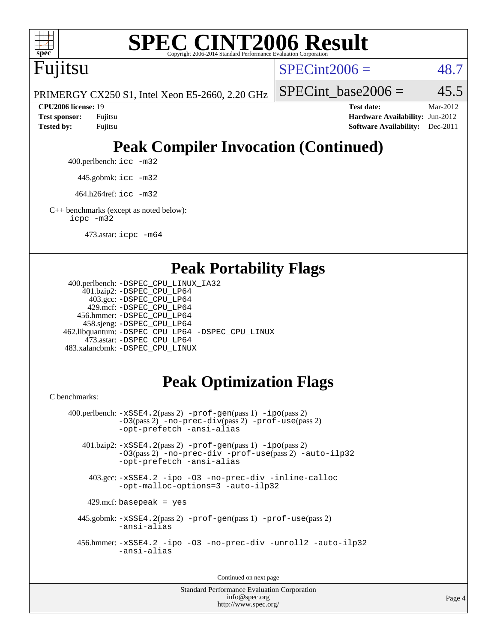

# **[SPEC CINT2006 Result](http://www.spec.org/auto/cpu2006/Docs/result-fields.html#SPECCINT2006Result)**

Fujitsu

 $SPECint2006 = 48.7$  $SPECint2006 = 48.7$ 

PRIMERGY CX250 S1, Intel Xeon E5-2660, 2.20 GHz

SPECint base2006 =  $45.5$ 

**[CPU2006 license:](http://www.spec.org/auto/cpu2006/Docs/result-fields.html#CPU2006license)** 19 **[Test date:](http://www.spec.org/auto/cpu2006/Docs/result-fields.html#Testdate)** Mar-2012 **[Test sponsor:](http://www.spec.org/auto/cpu2006/Docs/result-fields.html#Testsponsor)** Fujitsu **[Hardware Availability:](http://www.spec.org/auto/cpu2006/Docs/result-fields.html#HardwareAvailability)** Jun-2012 **[Tested by:](http://www.spec.org/auto/cpu2006/Docs/result-fields.html#Testedby)** Fujitsu **[Software Availability:](http://www.spec.org/auto/cpu2006/Docs/result-fields.html#SoftwareAvailability)** Dec-2011

# **[Peak Compiler Invocation \(Continued\)](http://www.spec.org/auto/cpu2006/Docs/result-fields.html#PeakCompilerInvocation)**

400.perlbench: [icc -m32](http://www.spec.org/cpu2006/results/res2012q3/cpu2006-20120605-22803.flags.html#user_peakCCLD400_perlbench_intel_icc_a6a621f8d50482236b970c6ac5f55f93)

445.gobmk: [icc -m32](http://www.spec.org/cpu2006/results/res2012q3/cpu2006-20120605-22803.flags.html#user_peakCCLD445_gobmk_intel_icc_a6a621f8d50482236b970c6ac5f55f93)

464.h264ref: [icc -m32](http://www.spec.org/cpu2006/results/res2012q3/cpu2006-20120605-22803.flags.html#user_peakCCLD464_h264ref_intel_icc_a6a621f8d50482236b970c6ac5f55f93)

[C++ benchmarks \(except as noted below\):](http://www.spec.org/auto/cpu2006/Docs/result-fields.html#CXXbenchmarksexceptasnotedbelow) [icpc -m32](http://www.spec.org/cpu2006/results/res2012q3/cpu2006-20120605-22803.flags.html#user_CXXpeak_intel_icpc_4e5a5ef1a53fd332b3c49e69c3330699)

473.astar: [icpc -m64](http://www.spec.org/cpu2006/results/res2012q3/cpu2006-20120605-22803.flags.html#user_peakCXXLD473_astar_intel_icpc_64bit_fc66a5337ce925472a5c54ad6a0de310)

#### **[Peak Portability Flags](http://www.spec.org/auto/cpu2006/Docs/result-fields.html#PeakPortabilityFlags)**

```
 400.perlbench: -DSPEC_CPU_LINUX_IA32
    401.bzip2: -DSPEC_CPU_LP64
      403.gcc: -DSPEC_CPU_LP64
     429.mcf: -DSPEC_CPU_LP64
   456.hmmer: -DSPEC_CPU_LP64
    458.sjeng: -DSPEC_CPU_LP64
462.libquantum: -DSPEC_CPU_LP64 -DSPEC_CPU_LINUX
     473.astar: -DSPEC_CPU_LP64
483.xalancbmk: -DSPEC_CPU_LINUX
```
### **[Peak Optimization Flags](http://www.spec.org/auto/cpu2006/Docs/result-fields.html#PeakOptimizationFlags)**

[C benchmarks](http://www.spec.org/auto/cpu2006/Docs/result-fields.html#Cbenchmarks):

```
 400.perlbench: -xSSE4.2(pass 2) -prof-gen(pass 1) -ipo(pass 2)
           -O3(pass 2) -no-prec-div(pass 2) -prof-use(pass 2)
          -opt-prefetch -ansi-alias
   401.bzip2: -xSSE4.2(pass 2) -prof-gen(pass 1) -ipo(pass 2)
           -O3(pass 2) -no-prec-div -prof-use(pass 2) -auto-ilp32
           -opt-prefetch -ansi-alias
    403.gcc: -xSSE4.2 -ipo -O3 -no-prec-div -inline-calloc
           -opt-malloc-options=3 -auto-ilp32
   429.mcf: basepeak = yes
  445.gobmk: -xSSE4.2(pass 2) -prof-gen(pass 1) -prof-use(pass 2)
           -ansi-alias
  456.hmmer: -xSSE4.2 -ipo -O3 -no-prec-div -unroll2 -auto-ilp32
           -ansi-alias
```
Continued on next page

Standard Performance Evaluation Corporation [info@spec.org](mailto:info@spec.org) <http://www.spec.org/>